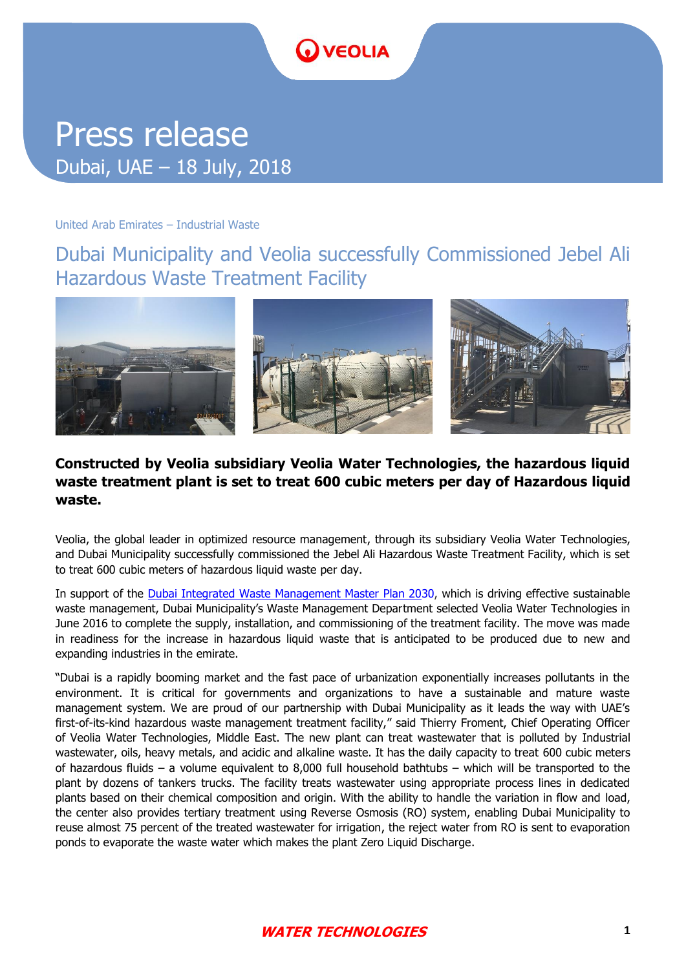# **D** VEOLIA

## Press release Dubai, UAE – 18 July, 2018

#### United Arab Emirates – Industrial Waste

Dubai Municipality and Veolia successfully Commissioned Jebel Ali Hazardous Waste Treatment Facility



#### **Constructed by Veolia subsidiary Veolia Water Technologies, the hazardous liquid waste treatment plant is set to treat 600 cubic meters per day of Hazardous liquid waste.**

Veolia, the global leader in optimized resource management, through its subsidiary Veolia Water Technologies, and Dubai Municipality successfully commissioned the Jebel Ali Hazardous Waste Treatment Facility, which is set to treat 600 cubic meters of hazardous liquid waste per day.

In support of the [Dubai Integrated Waste Management Master Plan 203](https://government.ae/en/information-and-services/environment-and-energy/waste-management)0, which is driving effective sustainable waste management, Dubai Municipality's Waste Management Department selected Veolia Water Technologies in June 2016 to complete the supply, installation, and commissioning of the treatment facility. The move was made in readiness for the increase in hazardous liquid waste that is anticipated to be produced due to new and expanding industries in the emirate.

"Dubai is a rapidly booming market and the fast pace of urbanization exponentially increases pollutants in the environment. It is critical for governments and organizations to have a sustainable and mature waste management system. We are proud of our partnership with Dubai Municipality as it leads the way with UAE's first-of-its-kind hazardous waste management treatment facility," said Thierry Froment, Chief Operating Officer of Veolia Water Technologies, Middle East. The new plant can treat wastewater that is polluted by Industrial wastewater, oils, heavy metals, and acidic and alkaline waste. It has the daily capacity to treat 600 cubic meters of hazardous fluids – a volume equivalent to 8,000 full household bathtubs – which will be transported to the plant by dozens of tankers trucks. The facility treats wastewater using appropriate process lines in dedicated plants based on their chemical composition and origin. With the ability to handle the variation in flow and load, the center also provides tertiary treatment using Reverse Osmosis (RO) system, enabling Dubai Municipality to reuse almost 75 percent of the treated wastewater for irrigation, the reject water from RO is sent to evaporation ponds to evaporate the waste water which makes the plant Zero Liquid Discharge.

#### **WATER TECHNOLOGIES**